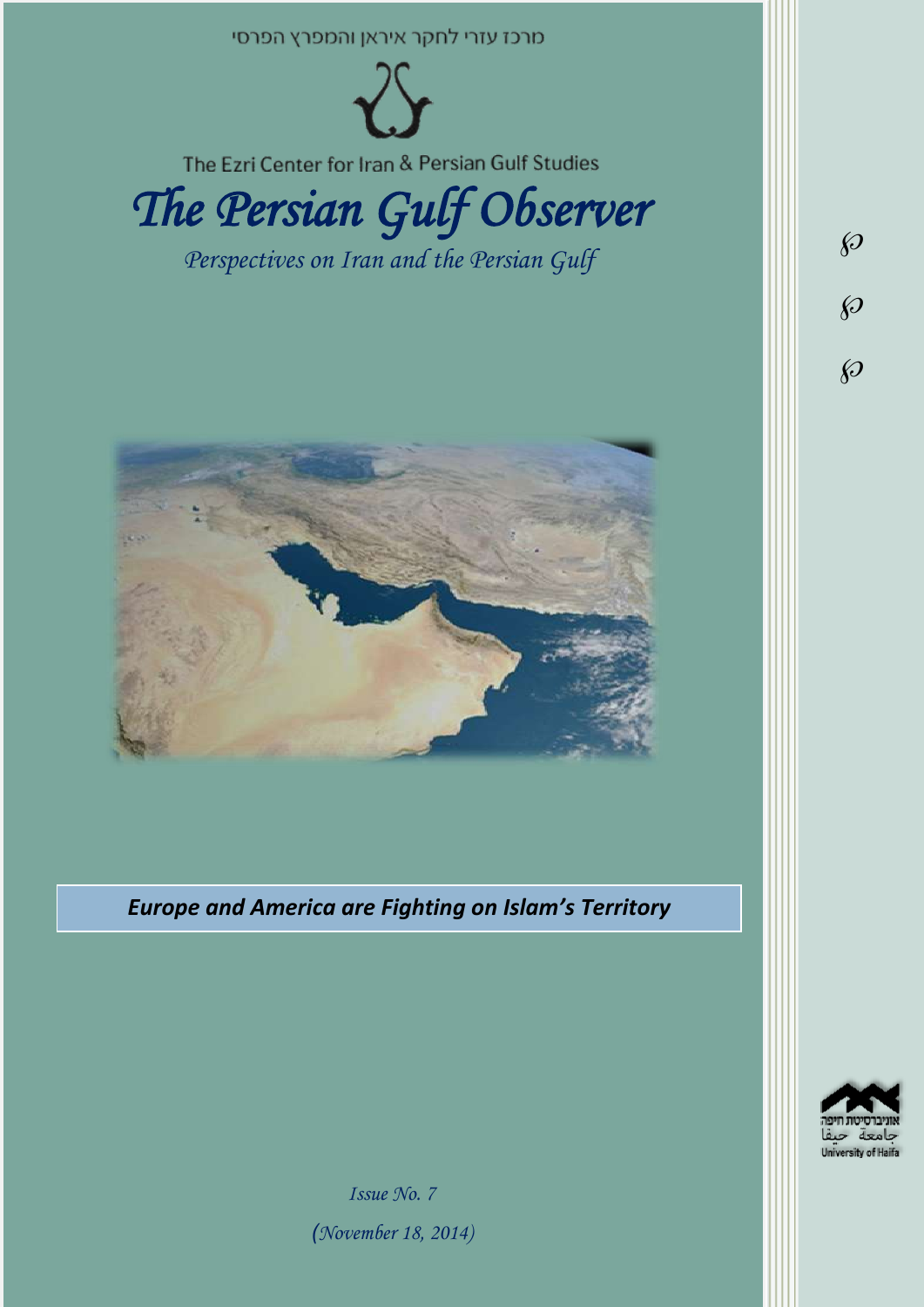



*Issue No. 7 )November 18, 2014)*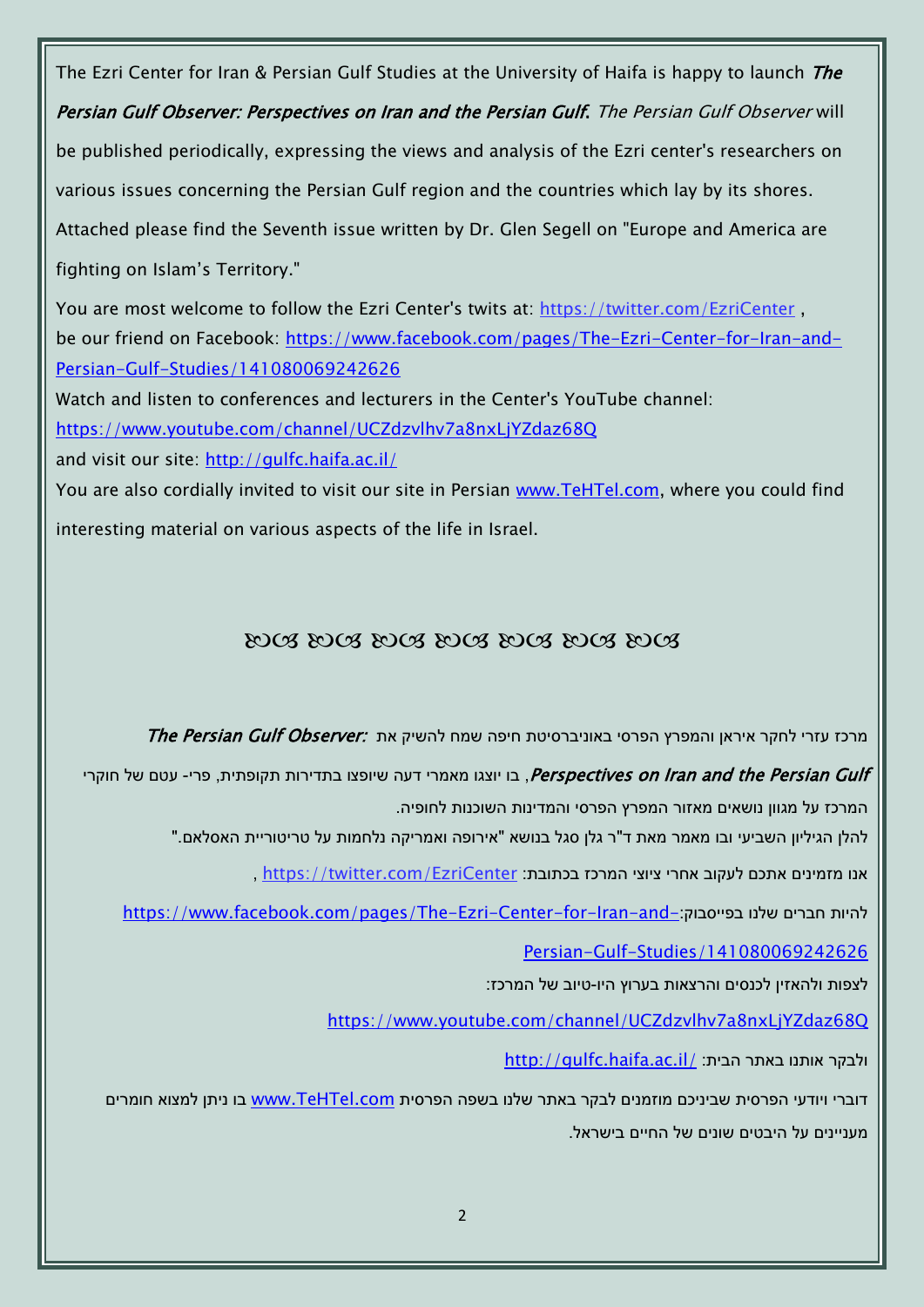The Ezri Center for Iran & Persian Gulf Studies at the University of Haifa is happy to launch The Persian Gulf Observer: Perspectives on Iran and the Persian Gulf. The Persian Gulf Observer will be published periodically, expressing the views and analysis of the Ezri center's researchers on various issues concerning the Persian Gulf region and the countries which lay by its shores. Attached please find the Seventh issue written by Dr. Glen Segell on "Europe and America are fighting on Islam's Territory." You are most welcome to follow the Ezri Center's twits at: <https://twitter.com/EzriCenter> , be our friend on Facebook: [https://www.facebook.com/pages/The-Ezri-Center-for-Iran-and-](https://www.facebook.com/pages/The-Ezri-Center-for-Iran-and-Persian-Gulf-Studies/141080069242626)[Persian-Gulf-Studies/141080069242626](https://www.facebook.com/pages/The-Ezri-Center-for-Iran-and-Persian-Gulf-Studies/141080069242626) Watch and listen to conferences and lecturers in the Center's YouTube channel: <https://www.youtube.com/channel/UCZdzvlhv7a8nxLjYZdaz68Q> and visit our site:<http://gulfc.haifa.ac.il/> You are also cordially invited to visit our site in Persian [www.TeHTel.com,](http://www.tehtel.com/) where you could find interesting material on various aspects of the life in Israel.

# DOG DOG DOG DOG DOG DOG DOG

מרכז עזרי לחקר איראן והמפרץ הפרסי באוניברסיטת חיפה שמח להשיק את :The Persian Gulf Observer

Perspectives on Iran and the Persian Gulf , בו יוצגו מאמרי דעה שיופצו בתדירות תקופתית, פרי- עטם של חוקרי המרכז על מגוון נושאים מאזור המפרץ הפרסי והמדינות השוכנות לחופיה.

להלן הגיליון השביעי ובו מאמר מאת ד"ר גלן סגל בנושא "אירופה ואמריקה נלחמות על טריטוריית האסלאם."

אנו מזמינים אתכם לעקוב אחרי ציוצי המרכז בכתובת: [EzriCenter/com.twitter://https](https://twitter.com/EzriCenter) ,

[https://www.facebook.com/pages/The-Ezri-Center-for-Iran-and-](https://www.facebook.com/pages/The-Ezri-Center-for-Iran-and-Persian-Gulf-Studies/141080069242626)

[Persian-Gulf-Studies/141080069242626](https://www.facebook.com/pages/The-Ezri-Center-for-Iran-and-Persian-Gulf-Studies/141080069242626)

לצפות ולהאזין לכנסים והרצאות בערוץ היו-טיוב של המרכז:

<https://www.youtube.com/channel/UCZdzvlhv7a8nxLjYZdaz68Q>

<http://gulfc.haifa.ac.il/> ולבקר אותנו באתר הבית:

דוברי ויודעי הפרסית שביניכם מוזמנים לבקר באתר שלנו בשפה הפרסית www.TeHTel.com בו ניתן למצוא חומרים מעניינים על היבטים שונים של החיים בישראל.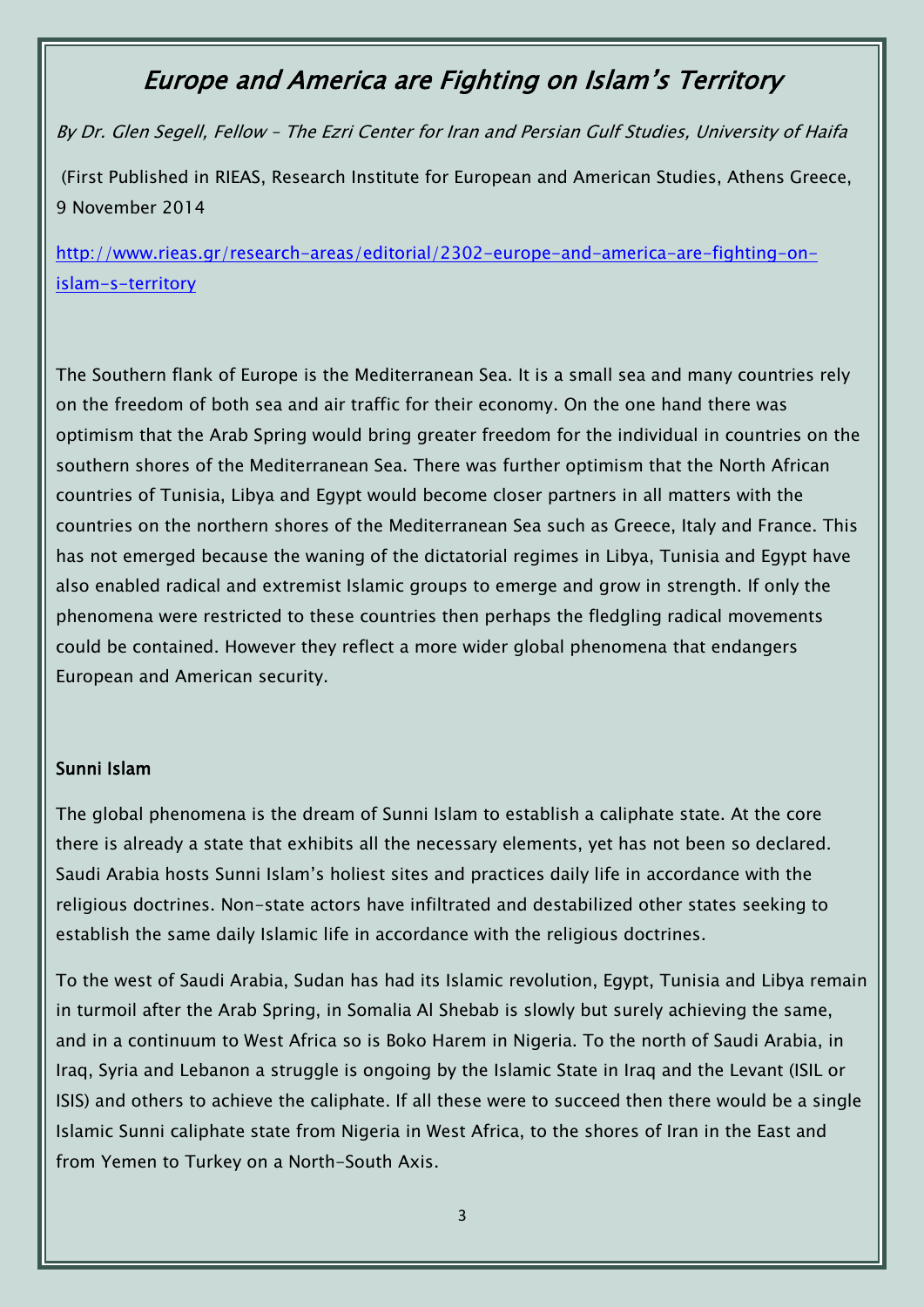# Europe and America are Fighting on Islam's Territory

By Dr. Glen Segell, Fellow – The Ezri Center for Iran and Persian Gulf Studies, University of Haifa (First Published in RIEAS, Research Institute for European and American Studies, Athens Greece, 9 November 2014

[http://www.rieas.gr/research-areas/editorial/2302-europe-and-america-are-fighting-on](http://www.rieas.gr/research-areas/editorial/2302-europe-and-america-are-fighting-on-islam-s-territory)[islam-s-territory](http://www.rieas.gr/research-areas/editorial/2302-europe-and-america-are-fighting-on-islam-s-territory)

The Southern flank of Europe is the Mediterranean Sea. It is a small sea and many countries rely on the freedom of both sea and air traffic for their economy. On the one hand there was optimism that the Arab Spring would bring greater freedom for the individual in countries on the southern shores of the Mediterranean Sea. There was further optimism that the North African countries of Tunisia, Libya and Egypt would become closer partners in all matters with the countries on the northern shores of the Mediterranean Sea such as Greece, Italy and France. This has not emerged because the waning of the dictatorial regimes in Libya, Tunisia and Egypt have also enabled radical and extremist Islamic groups to emerge and grow in strength. If only the phenomena were restricted to these countries then perhaps the fledgling radical movements could be contained. However they reflect a more wider global phenomena that endangers European and American security.

#### Sunni Islam

The global phenomena is the dream of Sunni Islam to establish a caliphate state. At the core there is already a state that exhibits all the necessary elements, yet has not been so declared. Saudi Arabia hosts Sunni Islam's holiest sites and practices daily life in accordance with the religious doctrines. Non-state actors have infiltrated and destabilized other states seeking to establish the same daily Islamic life in accordance with the religious doctrines.

To the west of Saudi Arabia, Sudan has had its Islamic revolution, Egypt, Tunisia and Libya remain in turmoil after the Arab Spring, in Somalia Al Shebab is slowly but surely achieving the same, and in a continuum to West Africa so is Boko Harem in Nigeria. To the north of Saudi Arabia, in Iraq, Syria and Lebanon a struggle is ongoing by the Islamic State in Iraq and the Levant (ISIL or ISIS) and others to achieve the caliphate. If all these were to succeed then there would be a single Islamic Sunni caliphate state from Nigeria in West Africa, to the shores of Iran in the East and from Yemen to Turkey on a North-South Axis.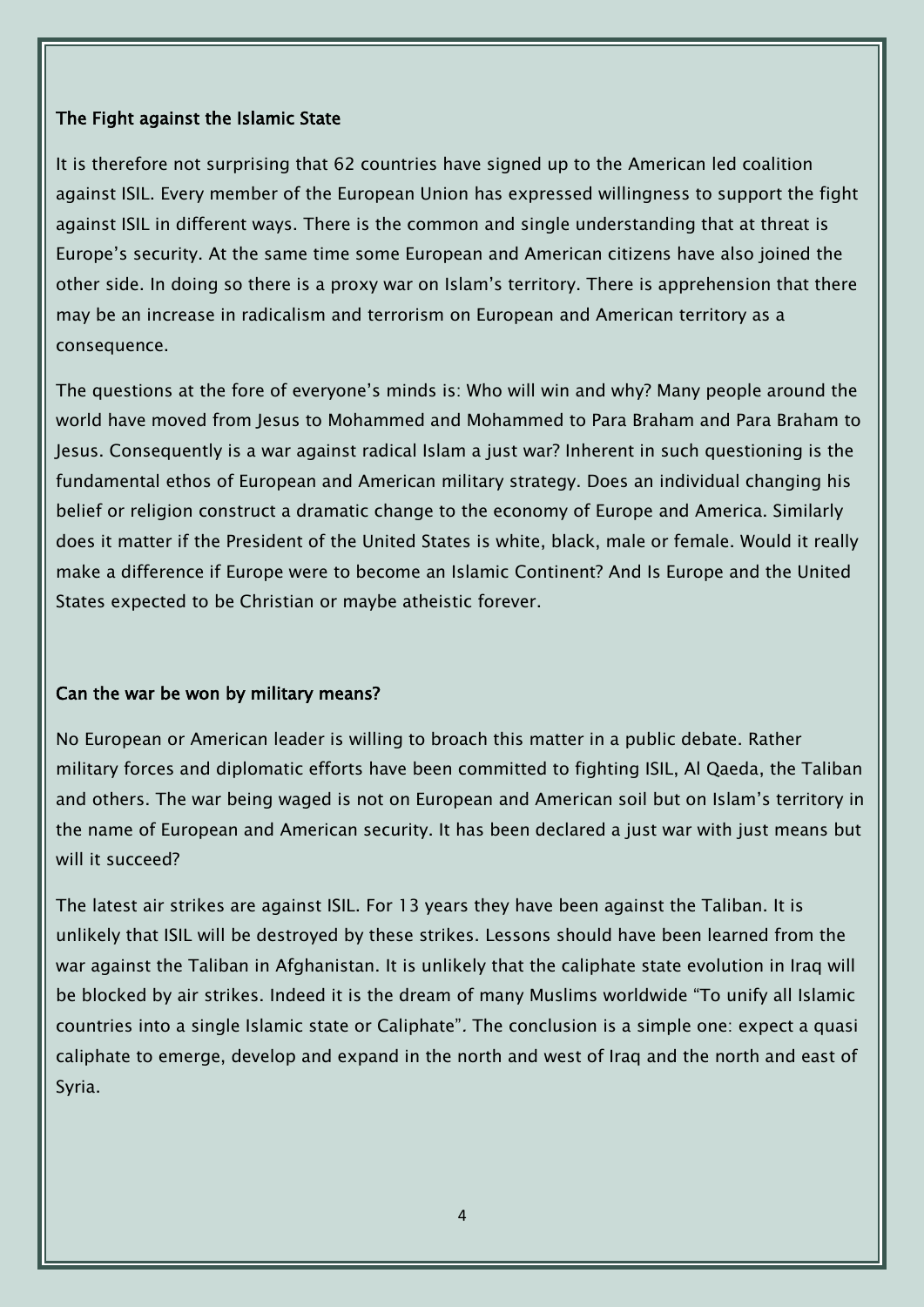#### The Fight against the Islamic State

It is therefore not surprising that 62 countries have signed up to the American led coalition against ISIL. Every member of the European Union has expressed willingness to support the fight against ISIL in different ways. There is the common and single understanding that at threat is Europe's security. At the same time some European and American citizens have also joined the other side. In doing so there is a proxy war on Islam's territory. There is apprehension that there may be an increase in radicalism and terrorism on European and American territory as a consequence.

The questions at the fore of everyone's minds is: Who will win and why? Many people around the world have moved from Jesus to Mohammed and Mohammed to Para Braham and Para Braham to Jesus. Consequently is a war against radical Islam a just war? Inherent in such questioning is the fundamental ethos of European and American military strategy. Does an individual changing his belief or religion construct a dramatic change to the economy of Europe and America. Similarly does it matter if the President of the United States is white, black, male or female. Would it really make a difference if Europe were to become an Islamic Continent? And Is Europe and the United States expected to be Christian or maybe atheistic forever.

## Can the war be won by military means?

No European or American leader is willing to broach this matter in a public debate. Rather military forces and diplomatic efforts have been committed to fighting ISIL, Al Qaeda, the Taliban and others. The war being waged is not on European and American soil but on Islam's territory in the name of European and American security. It has been declared a just war with just means but will it succeed?

The latest air strikes are against ISIL. For 13 years they have been against the Taliban. It is unlikely that ISIL will be destroyed by these strikes. Lessons should have been learned from the war against the Taliban in Afghanistan. It is unlikely that the caliphate state evolution in Iraq will be blocked by air strikes. Indeed it is the dream of many Muslims worldwide "To unify all Islamic countries into a single Islamic state or Caliphate". The conclusion is a simple one: expect a quasi caliphate to emerge, develop and expand in the north and west of Iraq and the north and east of Syria.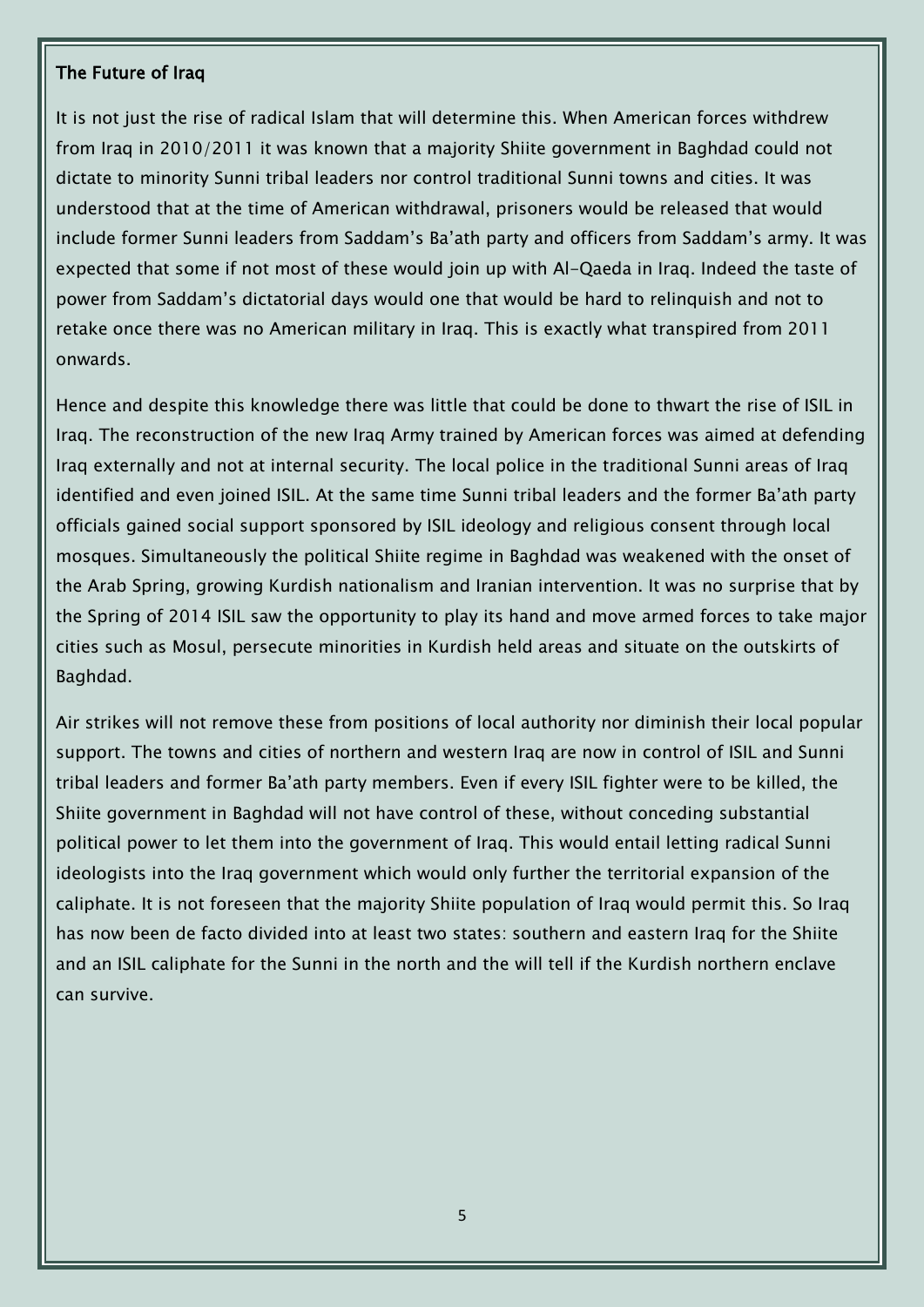#### The Future of Iraq

It is not just the rise of radical Islam that will determine this. When American forces withdrew from Iraq in 2010/2011 it was known that a majority Shiite government in Baghdad could not dictate to minority Sunni tribal leaders nor control traditional Sunni towns and cities. It was understood that at the time of American withdrawal, prisoners would be released that would include former Sunni leaders from Saddam's Ba'ath party and officers from Saddam's army. It was expected that some if not most of these would join up with Al-Qaeda in Iraq. Indeed the taste of power from Saddam's dictatorial days would one that would be hard to relinquish and not to retake once there was no American military in Iraq. This is exactly what transpired from 2011 onwards.

Hence and despite this knowledge there was little that could be done to thwart the rise of ISIL in Iraq. The reconstruction of the new Iraq Army trained by American forces was aimed at defending Iraq externally and not at internal security. The local police in the traditional Sunni areas of Iraq identified and even joined ISIL. At the same time Sunni tribal leaders and the former Ba'ath party officials gained social support sponsored by ISIL ideology and religious consent through local mosques. Simultaneously the political Shiite regime in Baghdad was weakened with the onset of the Arab Spring, growing Kurdish nationalism and Iranian intervention. It was no surprise that by the Spring of 2014 ISIL saw the opportunity to play its hand and move armed forces to take major cities such as Mosul, persecute minorities in Kurdish held areas and situate on the outskirts of Baghdad.

Air strikes will not remove these from positions of local authority nor diminish their local popular support. The towns and cities of northern and western Iraq are now in control of ISIL and Sunni tribal leaders and former Ba'ath party members. Even if every ISIL fighter were to be killed, the Shiite government in Baghdad will not have control of these, without conceding substantial political power to let them into the government of Iraq. This would entail letting radical Sunni ideologists into the Iraq government which would only further the territorial expansion of the caliphate. It is not foreseen that the majority Shiite population of Iraq would permit this. So Iraq has now been de facto divided into at least two states: southern and eastern Iraq for the Shiite and an ISIL caliphate for the Sunni in the north and the will tell if the Kurdish northern enclave can survive.